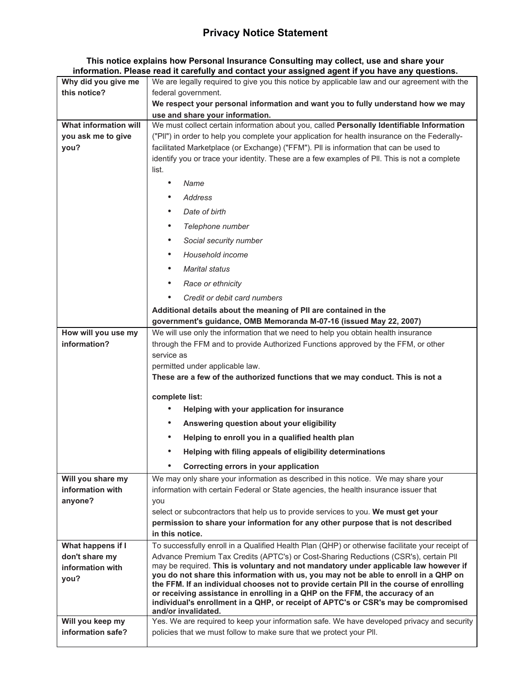## **Privacy Notice Statement**

**This notice explains how Personal Insurance Consulting may collect, use and share your information. Please read it carefully and contact your assigned agent if you have any questions.**

| Why did you give me                 | We are legally required to give you this notice by applicable law and our agreement with the                                                                                            |
|-------------------------------------|-----------------------------------------------------------------------------------------------------------------------------------------------------------------------------------------|
| this notice?                        | federal government.                                                                                                                                                                     |
|                                     | We respect your personal information and want you to fully understand how we may                                                                                                        |
|                                     | use and share your information.                                                                                                                                                         |
| What information will               | We must collect certain information about you, called Personally Identifiable Information                                                                                               |
| you ask me to give                  | ("PII") in order to help you complete your application for health insurance on the Federally-                                                                                           |
| you?                                | facilitated Marketplace (or Exchange) ("FFM"). Pll is information that can be used to                                                                                                   |
|                                     | identify you or trace your identity. These are a few examples of PII. This is not a complete<br>list.                                                                                   |
|                                     | Name<br>$\bullet$                                                                                                                                                                       |
|                                     |                                                                                                                                                                                         |
|                                     | Address<br>٠                                                                                                                                                                            |
|                                     | Date of birth<br>$\bullet$                                                                                                                                                              |
|                                     | Telephone number<br>$\bullet$                                                                                                                                                           |
|                                     | $\bullet$<br>Social security number                                                                                                                                                     |
|                                     | Household income<br>$\bullet$                                                                                                                                                           |
|                                     | <b>Marital status</b><br>$\bullet$                                                                                                                                                      |
|                                     | Race or ethnicity<br>$\bullet$                                                                                                                                                          |
|                                     | Credit or debit card numbers<br>$\bullet$                                                                                                                                               |
|                                     | Additional details about the meaning of PII are contained in the                                                                                                                        |
|                                     | government's guidance, OMB Memoranda M-07-16 (issued May 22, 2007)                                                                                                                      |
| How will you use my                 | We will use only the information that we need to help you obtain health insurance                                                                                                       |
| information?                        | through the FFM and to provide Authorized Functions approved by the FFM, or other                                                                                                       |
|                                     | service as                                                                                                                                                                              |
|                                     | permitted under applicable law.                                                                                                                                                         |
|                                     | These are a few of the authorized functions that we may conduct. This is not a                                                                                                          |
|                                     | complete list:                                                                                                                                                                          |
|                                     | Helping with your application for insurance                                                                                                                                             |
|                                     | Answering question about your eligibility<br>٠                                                                                                                                          |
|                                     | $\bullet$<br>Helping to enroll you in a qualified health plan                                                                                                                           |
|                                     | Helping with filing appeals of eligibility determinations                                                                                                                               |
|                                     | Correcting errors in your application                                                                                                                                                   |
| Will you share my                   | We may only share your information as described in this notice. We may share your                                                                                                       |
| information with                    | information with certain Federal or State agencies, the health insurance issuer that                                                                                                    |
| anyone?                             | you                                                                                                                                                                                     |
|                                     | select or subcontractors that help us to provide services to you. We must get your                                                                                                      |
|                                     | permission to share your information for any other purpose that is not described<br>in this notice.                                                                                     |
|                                     |                                                                                                                                                                                         |
| What happens if I<br>don't share my | To successfully enroll in a Qualified Health Plan (QHP) or otherwise facilitate your receipt of<br>Advance Premium Tax Credits (APTC's) or Cost-Sharing Reductions (CSR's), certain Pll |
| information with                    | may be required. This is voluntary and not mandatory under applicable law however if                                                                                                    |
| you?                                | you do not share this information with us, you may not be able to enroll in a QHP on                                                                                                    |
|                                     | the FFM. If an individual chooses not to provide certain PII in the course of enrolling                                                                                                 |
|                                     | or receiving assistance in enrolling in a QHP on the FFM, the accuracy of an<br>individual's enrollment in a QHP, or receipt of APTC's or CSR's may be compromised                      |
|                                     | and/or invalidated.                                                                                                                                                                     |
| Will you keep my                    | Yes. We are required to keep your information safe. We have developed privacy and security                                                                                              |
| information safe?                   | policies that we must follow to make sure that we protect your PII.                                                                                                                     |
|                                     |                                                                                                                                                                                         |